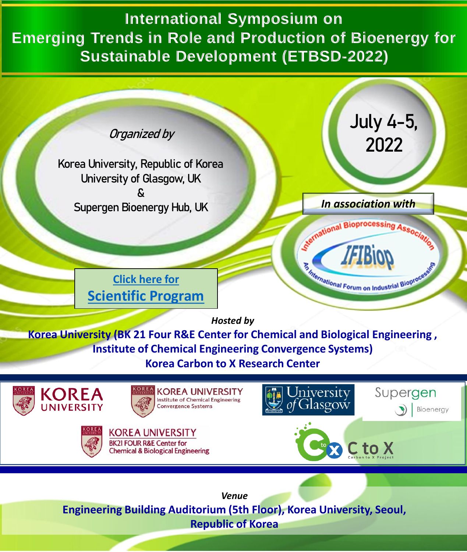**International Symposium on Emerging Trends in Role and Production of Bioenergy for Sustainable Development (ETBSD-2022)**



**Republic of Korea**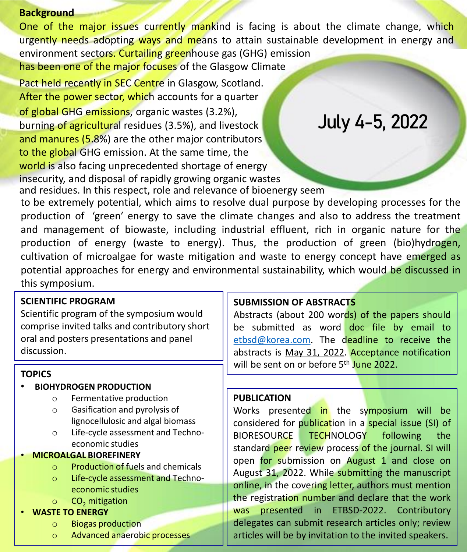## **Background**

One of the major issues currently mankind is facing is about the climate change, which urgently needs adopting ways and means to attain sustainable development in energy and environment sectors. Curtailing greenhouse gas (GHG) emission has been one of the major focuses of the Glasgow Climate

Pact held recently in SEC Centre in Glasgow, Scotland. After the power sector, which accounts for a quarter of global GHG emissions, organic wastes (3.2%), burning of agricultural residues (3.5%), and livestock and manures (5.8%) are the other major contributors to the global GHG emission. At the same time, the world is also facing unprecedented shortage of energy insecurity, and disposal of rapidly growing organic wastes

# **July 4-5, 2022**

and residues. In this respect, role and relevance of bioenergy seem to be extremely potential, which aims to resolve dual purpose by developing processes for the production of 'green' energy to save the climate changes and also to address the treatment and management of biowaste, including industrial effluent, rich in organic nature for the production of energy (waste to energy). Thus, the production of green (bio)hydrogen, cultivation of microalgae for waste mitigation and waste to energy concept have emerged as potential approaches for energy and environmental sustainability, which would be discussed in this symposium.

## **SCIENTIFIC PROGRAM**

Scientific program of the symposium would comprise invited talks and contributory short oral and posters presentations and panel discussion.

## **TOPICS**

## • **BIOHYDROGEN PRODUCTION**

- o Fermentative production
- o Gasification and pyrolysis of lignocellulosic and algal biomass
- o Life-cycle assessment and Technoeconomic studies

## • **MICROALGAL BIOREFINERY**

- o Production of fuels and chemicals
- o Life-cycle assessment and Technoeconomic studies
- $\circ$  CO<sub>2</sub> mitigation
- **WASTE TO ENERGY**
	- o Biogas production
	- o Advanced anaerobic processes

## **SUBMISSION OF ABSTRACTS**

Abstracts (about 200 words) of the papers should be submitted as word doc file by email to [etbsd@korea.com](mailto:etbsd@korea.ac.kr). The deadline to receive the abstracts is May 31, 2022. Acceptance notification will be sent on or before 5<sup>th</sup> J<mark>une 2022.</mark>

## **PUBLICATION**

Works presented in the symposium will be considered for publication in a special issue (SI) of BIORESOURCE TECHNOLOGY following the standard peer review process of the journal. SI will open for submission on August 1 and close on August 31, 2022. While submitting the manuscript online, in the covering letter, authors must mention the registration number and declare that the work was presented in ETBSD-2022. Contributory delegates can submit research articles only; review articles will be by invitation to the invited speakers.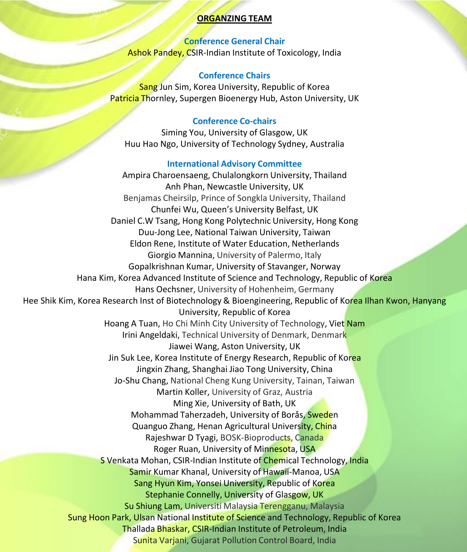#### **ORGANZING TEAM**

**Conference General Chair** Ashok Pandey, CSIR-Indian Institute of Toxicology, India

#### **Conference Chairs**

Sang Jun Sim, Korea University, Republic of Korea Patricia Thornley, Supergen Bioenergy Hub, Aston University, UK

### **Conference Co-chairs**

Siming You, University of Glasgow, UK Huu Hao Ngo, University of Technology Sydney, Australia

#### **International Advisory Committee**

Ampira Charoensaeng, Chulalongkorn University, Thailand Anh Phan, Newcastle University, UK Benjamas Cheirsilp, Prince of Songkla University, Thailand Chunfei Wu, Queen's University Belfast, UK Daniel C.W Tsang, Hong Kong Polytechnic University, Hong Kong Duu-Jong Lee, National Taiwan University, Taiwan Eldon Rene, Institute of Water Education, Netherlands Giorgio Mannina, University of Palermo, Italy Gopalkrishnan Kumar, University of Stavanger, Norway Hana Kim, Korea Advanced Institute of Science and Technology, Republic of Korea Hans Oechsner, University of Hohenheim, Germany Hee Shik Kim, Korea Research Inst of Biotechnology & Bioengineering, Republic of Korea Ilhan Kwon, Hanyang University, Republic of Korea Hoang A Tuan, Ho Chi Minh City University of Technology, Viet Nam Irini Angeldaki, Technical University of Denmark, Denmark Jiawei Wang, Aston University, UK Jin Suk Lee, Korea Institute of Energy Research, Republic of Korea Jingxin Zhang, Shanghai Jiao Tong University, China Jo-Shu Chang, National Cheng Kung University, Tainan, Taiwan Martin Koller, University of Graz, Austria Ming Xie, University of Bath, UK Mohammad Taherzadeh, University of Borås, Sweden Quanguo Zhang, Henan Agricultural University, China Rajeshwar D Tyagi, BOSK-Bioproducts, Canada Roger Ruan, University of Minnesota, USA S Venkata Mohan, CSIR-Indian Institute of Chemical Technology, India Samir Kumar Khanal, University of Hawaii-Manoa, USA Sang Hyun Kim, Yonsei University, Republic of Korea Stephanie Connelly, University of Glasgow, UK Su Shiung Lam, Universiti Malaysia Terengganu, Malaysia Sung Hoon Park, Ulsan National Institute of Science and Technology, Republic of Korea Thallada Bhaskar, CSIR-Indian Institute of Petroleum, India Sunita Varjani, Gujarat Pollution Control Board, India